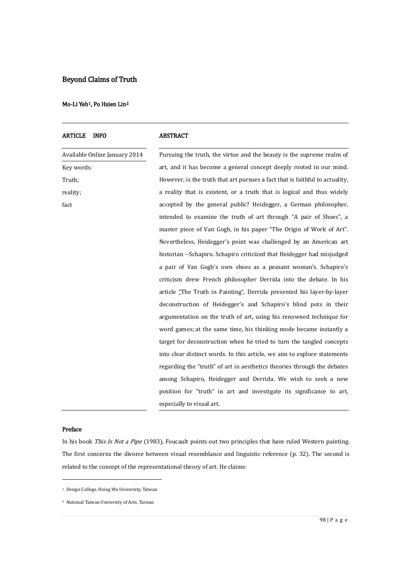# Beyond Claims of Truth

# Mo-Li Yeh<sup>[1](#page-0-0)</sup>, Po Hsien Lin<sup>[2](#page-0-1)</sup>

| <b>INFO</b><br><b>ARTICLE</b> | ABSTRACT                                                                     |
|-------------------------------|------------------------------------------------------------------------------|
| Available Online January 2014 | Pursuing the truth, the virtue and the beauty is the supreme realm of        |
| Key words:                    | art, and it has become a general concept deeply rooted in our mind.          |
| Truth;                        | However, is the truth that art pursues a fact that is faithful to actuality, |
| reality;                      | a reality that is existent, or a truth that is logical and thus widely       |
| fact                          | accepted by the general public? Heidegger, a German philosopher,             |
|                               | intended to examine the truth of art through "A pair of Shoes", a            |
|                               | master piece of Van Gogh, in his paper "The Origin of Work of Art".          |
|                               | Nevertheless, Heidegger's point was challenged by an American art            |
|                               | historian --Schapiro. Schapiro criticized that Heidegger had misjudged       |
|                               | a pair of Van Gogh's own shoes as a peasant woman's. Schapiro's              |
|                               | criticism drew French philosopher Derrida into the debate. In his            |
|                               | article "The Truth in Painting", Derrida presented his layer-by-layer        |
|                               | deconstruction of Heidegger's and Schapiro's blind pots in their             |
|                               | argumentation on the truth of art, using his renowned technique for          |
|                               | word games; at the same time, his thinking mode became instantly a           |
|                               | target for deconstruction when he tried to turn the tangled concepts         |
|                               | into clear distinct words. In this article, we aim to explore statements     |
|                               | regarding the "truth" of art in aesthetics theories through the debates      |
|                               | among Schapiro, Heidegger and Derrida. We wish to seek a new                 |
|                               | position for "truth" in art and investigate its significance to art,         |
|                               | especially to visual art.                                                    |

# Preface

-

In his book This Is Not a Pipe (1983), Foucault points out two principles that have ruled Western painting. The first concerns the divorce between visual resemblance and linguistic reference (p. 32). The second is related to the concept of the representational theory of art. He claims:

<span id="page-0-0"></span><sup>1</sup> Design College, Hsing Wu University, Taiwan

<span id="page-0-1"></span><sup>2</sup> National Taiwan University of Arts, Taiwan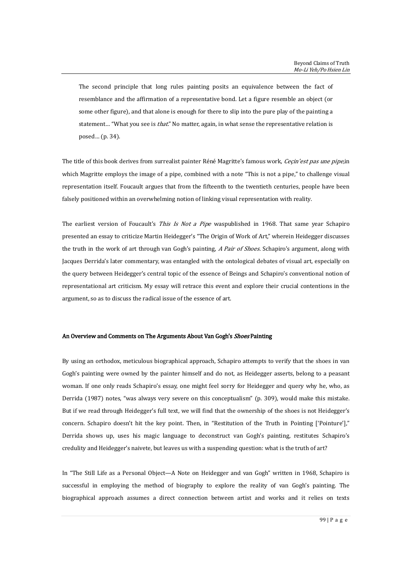The second principle that long rules painting posits an equivalence between the fact of resemblance and the affirmation of a representative bond. Let a figure resemble an object (or some other figure), and that alone is enough for there to slip into the pure play of the painting a statement... "What you see is *that.*" No matter, again, in what sense the representative relation is posed… (p. 34).

The title of this book derives from surrealist painter Réné Magritte's famous work, Ceçin'est pas une pipe, in which Magritte employs the image of a pipe, combined with a note "This is not a pipe," to challenge visual representation itself. Foucault argues that from the fifteenth to the twentieth centuries, people have been falsely positioned within an overwhelming notion of linking visual representation with reality.

The earliest version of Foucault's This Is Not a Pipe waspublished in 1968. That same year Schapiro presented an essay to criticize Martin Heidegger's "The Origin of Work of Art," wherein Heidegger discusses the truth in the work of art through van Gogh's painting, A Pair of Shoes. Schapiro's argument, along with Jacques Derrida's later commentary, was entangled with the ontological debates of visual art, especially on the query between Heidegger's central topic of the essence of Beings and Schapiro's conventional notion of representational art criticism. My essay will retrace this event and explore their crucial contentions in the argument, so as to discuss the radical issue of the essence of art.

## An Overview and Comments on The Arguments About Van Gogh's Shoes Painting

By using an orthodox, meticulous biographical approach, Schapiro attempts to verify that the shoes in van Gogh's painting were owned by the painter himself and do not, as Heidegger asserts, belong to a peasant woman. If one only reads Schapiro's essay, one might feel sorry for Heidegger and query why he, who, as Derrida (1987) notes, "was always very severe on this conceptualism" (p. 309), would make this mistake. But if we read through Heidegger's full text, we will find that the ownership of the shoes is not Heidegger's concern. Schapiro doesn't hit the key point. Then, in "Restitution of the Truth in Pointing ['Pointure']," Derrida shows up, uses his magic language to deconstruct van Gogh's painting, restitutes Schapiro's credulity and Heidegger's naivete, but leaves us with a suspending question: what is the truth of art?

In "The Still Life as a Personal Object—A Note on Heidegger and van Gogh" written in 1968, Schapiro is successful in employing the method of biography to explore the reality of van Gogh's painting. The biographical approach assumes a direct connection between artist and works and it relies on texts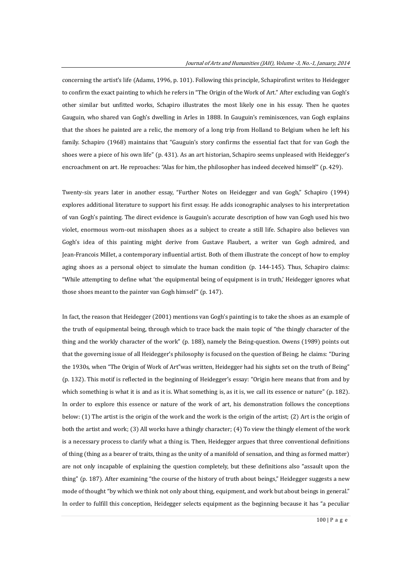concerning the artist's life (Adams, 1996, p. 101). Following this principle, Schapirofirst writes to Heidegger to confirm the exact painting to which he refers in "The Origin of the Work of Art." After excluding van Gogh's other similar but unfitted works, Schapiro illustrates the most likely one in his essay. Then he quotes Gauguin, who shared van Gogh's dwelling in Arles in 1888. In Gauguin's reminiscences, van Gogh explains that the shoes he painted are a relic, the memory of a long trip from Holland to Belgium when he left his family. Schapiro (1968) maintains that "Gauguin's story confirms the essential fact that for van Gogh the shoes were a piece of his own life" (p. 431). As an art historian, Schapiro seems unpleased with Heidegger's encroachment on art. He reproaches: "Alas for him, the philosopher has indeed deceived himself" (p. 429).

Twenty-six years later in another essay, "Further Notes on Heidegger and van Gogh," Schapiro (1994) explores additional literature to support his first essay. He adds iconographic analyses to his interpretation of van Gogh's painting. The direct evidence is Gauguin's accurate description of how van Gogh used his two violet, enormous worn-out misshapen shoes as a subject to create a still life. Schapiro also believes van Gogh's idea of this painting might derive from Gustave Flaubert, a writer van Gogh admired, and Jean-Francois Millet, a contemporary influential artist. Both of them illustrate the concept of how to employ aging shoes as a personal object to simulate the human condition (p. 144-145). Thus, Schapiro claims: "While attempting to define what 'the equipmental being of equipment is in truth,' Heidegger ignores what those shoes meant to the painter van Gogh himself" (p. 147).

In fact, the reason that Heidegger (2001) mentions van Gogh's painting is to take the shoes as an example of the truth of equipmental being, through which to trace back the main topic of "the thingly character of the thing and the workly character of the work" (p. 188), namely the Being-question. Owens (1989) points out that the governing issue of all Heidegger's philosophy is focused on the question of Being; he claims: "During the 1930s, when "The Origin of Work of Art"was written, Heidegger had his sights set on the truth of Being" (p. 132). This motif is reflected in the beginning of Heidegger's essay: "Origin here means that from and by which something is what it is and as it is. What something is, as it is, we call its essence or nature" (p. 182). In order to explore this essence or nature of the work of art, his demonstration follows the conceptions below: (1) The artist is the origin of the work and the work is the origin of the artist; (2) Art is the origin of both the artist and work; (3) All works have a thingly character; (4) To view the thingly element of the work is a necessary process to clarify what a thing is. Then, Heidegger argues that three conventional definitions of thing (thing as a bearer of traits, thing as the unity of a manifold of sensation, and thing as formed matter) are not only incapable of explaining the question completely, but these definitions also "assault upon the thing" (p. 187). After examining "the course of the history of truth about beings," Heidegger suggests a new mode of thought "by which we think not only about thing, equipment, and work but about beings in general." In order to fulfill this conception, Heidegger selects equipment as the beginning because it has "a peculiar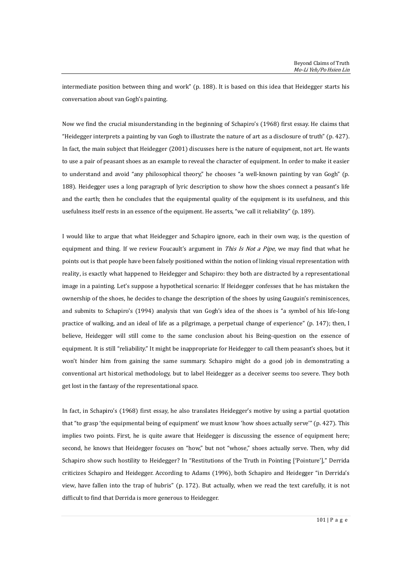intermediate position between thing and work" (p. 188). It is based on this idea that Heidegger starts his conversation about van Gogh's painting.

Now we find the crucial misunderstanding in the beginning of Schapiro's (1968) first essay. He claims that "Heidegger interprets a painting by van Gogh to illustrate the nature of art as a disclosure of truth" (p. 427). In fact, the main subject that Heidegger (2001) discusses here is the nature of equipment, not art. He wants to use a pair of peasant shoes as an example to reveal the character of equipment. In order to make it easier to understand and avoid "any philosophical theory," he chooses "a well-known painting by van Gogh" (p. 188). Heidegger uses a long paragraph of lyric description to show how the shoes connect a peasant's life and the earth; then he concludes that the equipmental quality of the equipment is its usefulness, and this usefulness itself rests in an essence of the equipment. He asserts, "we call it reliability" (p. 189).

I would like to argue that what Heidegger and Schapiro ignore, each in their own way, is the question of equipment and thing. If we review Foucault's argument in *This Is Not a Pipe*, we may find that what he points out is that people have been falsely positioned within the notion of linking visual representation with reality, is exactly what happened to Heidegger and Schapiro: they both are distracted by a representational image in a painting. Let's suppose a hypothetical scenario: If Heidegger confesses that he has mistaken the ownership of the shoes, he decides to change the description of the shoes by using Gauguin's reminiscences, and submits to Schapiro's (1994) analysis that van Gogh's idea of the shoes is "a symbol of his life-long practice of walking, and an ideal of life as a pilgrimage, a perpetual change of experience" (p. 147); then, I believe, Heidegger will still come to the same conclusion about his Being-question on the essence of equipment. It is still "reliability." It might be inappropriate for Heidegger to call them peasant's shoes, but it won't hinder him from gaining the same summary. Schapiro might do a good job in demonstrating a conventional art historical methodology, but to label Heidegger as a deceiver seems too severe. They both get lost in the fantasy of the representational space.

In fact, in Schapiro's (1968) first essay, he also translates Heidegger's motive by using a partial quotation that "to grasp 'the equipmental being of equipment' we must know 'how shoes actually serve'" (p. 427). This implies two points. First, he is quite aware that Heidegger is discussing the essence of equipment here; second, he knows that Heidegger focuses on "how," but not "whose," shoes actually serve. Then, why did Schapiro show such hostility to Heidegger? In "Restitutions of the Truth in Pointing ['Pointure']," Derrida criticizes Schapiro and Heidegger. According to Adams (1996), both Schapiro and Heidegger "in Derrida's view, have fallen into the trap of hubris" (p. 172). But actually, when we read the text carefully, it is not difficult to find that Derrida is more generous to Heidegger.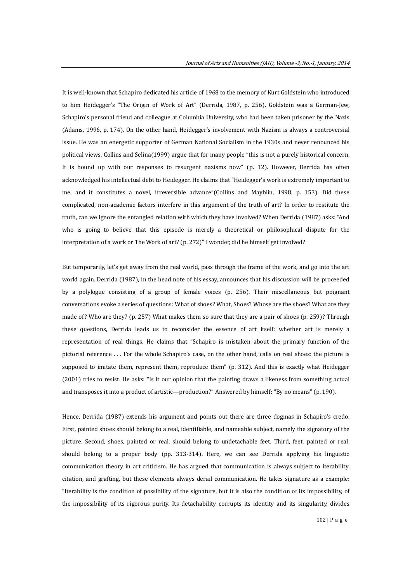It is well-known that Schapiro dedicated his article of 1968 to the memory of Kurt Goldstein who introduced to him Heidegger's "The Origin of Work of Art" (Derrida, 1987, p. 256). Goldstein was a German-Jew, Schapiro's personal friend and colleague at Columbia University, who had been taken prisoner by the Nazis (Adams, 1996, p. 174). On the other hand, Heidegger's involvement with Nazism is always a controversial issue. He was an energetic supporter of German National Socialism in the 1930s and never renounced his political views. Collins and Selina(1999) argue that for many people "this is not a purely historical concern. It is bound up with our responses to resurgent nazisms now" (p. 12). However, Derrida has often acknowledged his intellectual debt to Heidegger. He claims that "Heidegger's work is extremely important to me, and it constitutes a novel, irreversible advance"(Collins and Mayblin, 1998, p. 153). Did these complicated, non-academic factors interfere in this argument of the truth of art? In order to restitute the truth, can we ignore the entangled relation with which they have involved? When Derrida (1987) asks: "And who is going to believe that this episode is merely a theoretical or philosophical dispute for the interpretation of a work or The Work of art? (p. 272)" I wonder, did he himself get involved?

But temporarily, let's get away from the real world, pass through the frame of the work, and go into the art world again. Derrida (1987), in the head note of his essay, announces that his discussion will be proceeded by a polylogue consisting of a group of female voices (p. 256). Their miscellaneous but poignant conversations evoke a series of questions: What of shoes? What, Shoes? Whose are the shoes? What are they made of? Who are they? (p. 257) What makes them so sure that they are a pair of shoes (p. 259)? Through these questions, Derrida leads us to reconsider the essence of art itself: whether art is merely a representation of real things. He claims that "Schapiro is mistaken about the primary function of the pictorial reference . . . For the whole Schapiro's case, on the other hand, calls on real shoes: the picture is supposed to imitate them, represent them, reproduce them" (p. 312). And this is exactly what Heidegger (2001) tries to resist. He asks: "Is it our opinion that the painting draws a likeness from something actual and transposes it into a product of artistic—production?" Answered by himself: "By no means" (p. 190).

Hence, Derrida (1987) extends his argument and points out there are three dogmas in Schapiro's credo. First, painted shoes should belong to a real, identifiable, and nameable subject, namely the signatory of the picture. Second, shoes, painted or real, should belong to undetachable feet. Third, feet, painted or real, should belong to a proper body (pp. 313-314). Here, we can see Derrida applying his linguistic communication theory in art criticism. He has argued that communication is always subject to iterability, citation, and grafting, but these elements always derail communication. He takes signature as a example: "Iterability is the condition of possibility of the signature, but it is also the condition of its impossibility, of the impossibility of its rigorous purity. Its detachability corrupts its identity and its singularity, divides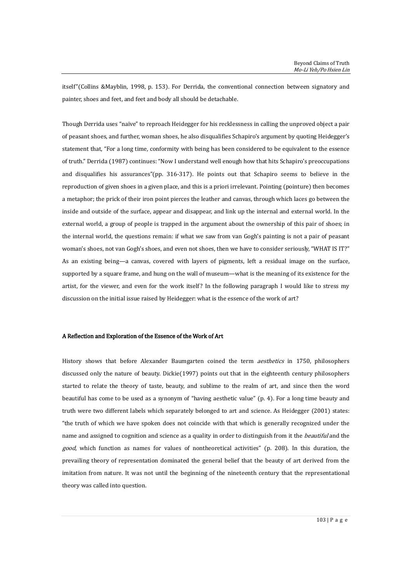itself"(Collins &Mayblin, 1998, p. 153). For Derrida, the conventional connection between signatory and painter, shoes and feet, and feet and body all should be detachable.

Though Derrida uses "naïve" to reproach Heidegger for his recklessness in calling the unproved object a pair of peasant shoes, and further, woman shoes, he also disqualifies Schapiro's argument by quoting Heidegger's statement that, "For a long time, conformity with being has been considered to be equivalent to the essence of truth." Derrida (1987) continues: "Now I understand well enough how that hits Schapiro's preoccupations and disqualifies his assurances"(pp. 316-317). He points out that Schapiro seems to believe in the reproduction of given shoes in a given place, and this is a priori irrelevant. Pointing (pointure) then becomes a metaphor; the prick of their iron point pierces the leather and canvas, through which laces go between the inside and outside of the surface, appear and disappear, and link up the internal and external world. In the external world, a group of people is trapped in the argument about the ownership of this pair of shoes; in the internal world, the questions remain: if what we saw from van Gogh's painting is not a pair of peasant woman's shoes, not van Gogh's shoes, and even not shoes, then we have to consider seriously, "WHAT IS IT?" As an existing being—a canvas, covered with layers of pigments, left a residual image on the surface, supported by a square frame, and hung on the wall of museum—what is the meaning of its existence for the artist, for the viewer, and even for the work itself? In the following paragraph I would like to stress my discussion on the initial issue raised by Heidegger: what is the essence of the work of art?

## A Reflection and Exploration of the Essence of the Work of Art

History shows that before Alexander Baumgarten coined the term aesthetics in 1750, philosophers discussed only the nature of beauty. Dickie(1997) points out that in the eighteenth century philosophers started to relate the theory of taste, beauty, and sublime to the realm of art, and since then the word beautiful has come to be used as a synonym of "having aesthetic value" (p. 4). For a long time beauty and truth were two different labels which separately belonged to art and science. As Heidegger (2001) states: "the truth of which we have spoken does not coincide with that which is generally recognized under the name and assigned to cognition and science as a quality in order to distinguish from it the *beautiful* and the good, which function as names for values of nontheoretical activities" (p. 208). In this duration, the prevailing theory of representation dominated the general belief that the beauty of art derived from the imitation from nature. It was not until the beginning of the nineteenth century that the representational theory was called into question.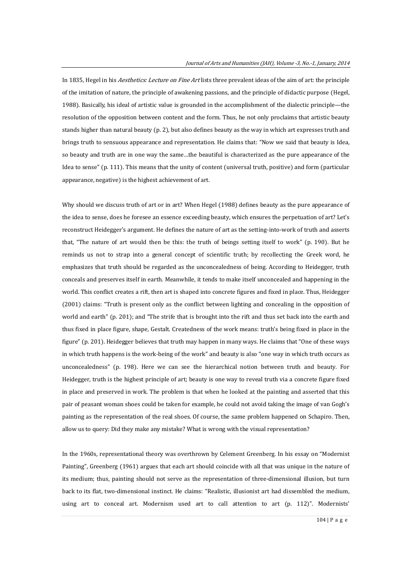In 1835, Hegel in his *Aesthetics: Lecture on Fine Art* lists three prevalent ideas of the aim of art: the principle of the imitation of nature, the principle of awakening passions, and the principle of didactic purpose (Hegel, 1988). Basically, his ideal of artistic value is grounded in the accomplishment of the dialectic principle—the resolution of the opposition between content and the form. Thus, he not only proclaims that artistic beauty stands higher than natural beauty (p. 2), but also defines beauty as the way in which art expresses truth and brings truth to sensuous appearance and representation. He claims that: "Now we said that beauty is Idea, so beauty and truth are in one way the same…the beautiful is characterized as the pure appearance of the Idea to sense" (p. 111). This means that the unity of content (universal truth, positive) and form (particular appearance, negative) is the highest achievement of art.

Why should we discuss truth of art or in art? When Hegel (1988) defines beauty as the pure appearance of the idea to sense, does he foresee an essence exceeding beauty, which ensures the perpetuation of art? Let's reconstruct Heidegger's argument. He defines the nature of art as the setting-into-work of truth and asserts that, "The nature of art would then be this: the truth of beings setting itself to work" (p. 190). But he reminds us not to strap into a general concept of scientific truth; by recollecting the Greek word, he emphasizes that truth should be regarded as the unconcealedness of being. According to Heidegger, truth conceals and preserves itself in earth. Meanwhile, it tends to make itself unconcealed and happening in the world. This conflict creates a rift, then art is shaped into concrete figures and fixed in place. Thus, Heidegger (2001) claims: "Truth is present only as the conflict between lighting and concealing in the opposition of world and earth" (p. 201); and "The strife that is brought into the rift and thus set back into the earth and thus fixed in place figure, shape, Gestalt. Createdness of the work means: truth's being fixed in place in the figure" (p. 201). Heidegger believes that truth may happen in many ways. He claims that "One of these ways in which truth happens is the work-being of the work" and beauty is also "one way in which truth occurs as unconcealedness" (p. 198). Here we can see the hierarchical notion between truth and beauty. For Heidegger, truth is the highest principle of art; beauty is one way to reveal truth via a concrete figure fixed in place and preserved in work. The problem is that when he looked at the painting and asserted that this pair of peasant woman shoes could be taken for example, he could not avoid taking the image of van Gogh's painting as the representation of the real shoes. Of course, the same problem happened on Schapiro. Then, allow us to query: Did they make any mistake? What is wrong with the visual representation?

In the 1960s, representational theory was overthrown by Celement Greenberg. In his essay on "Modernist Painting", Greenberg (1961) argues that each art should coincide with all that was unique in the nature of its medium; thus, painting should not serve as the representation of three-dimensional illusion, but turn back to its flat, two-dimensional instinct. He claims: "Realistic, illusionist art had dissembled the medium, using art to conceal art. Modernism used art to call attention to art (p. 112)". Modernists'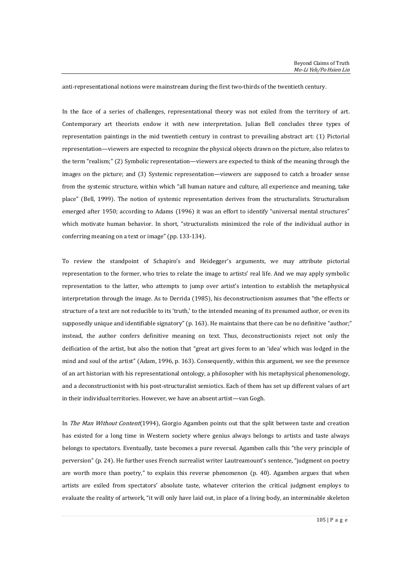anti-representational notions were mainstream during the first two-thirds of the twentieth century.

In the face of a series of challenges, representational theory was not exiled from the territory of art. Contemporary art theorists endow it with new interpretation. Julian Bell concludes three types of representation paintings in the mid twentieth century in contrast to prevailing abstract art: (1) Pictorial representation—viewers are expected to recognize the physical objects drawn on the picture, also relates to the term "realism;" (2) Symbolic representation—viewers are expected to think of the meaning through the images on the picture; and (3) Systemic representation—viewers are supposed to catch a broader sense from the systemic structure, within which "all human nature and culture, all experience and meaning, take place" (Bell, 1999). The notion of systemic representation derives from the structuralists. Structuralism emerged after 1950; according to Adams (1996) it was an effort to identify "universal mental structures" which motivate human behavior. In short, "structuralists minimized the role of the individual author in conferring meaning on a text or image" (pp. 133-134).

To review the standpoint of Schapiro's and Heidegger's arguments, we may attribute pictorial representation to the former, who tries to relate the image to artists' real life. And we may apply symbolic representation to the latter, who attempts to jump over artist's intention to establish the metaphysical interpretation through the image. As to Derrida (1985), his deconstructionism assumes that "the effects or structure of a text are not reducible to its 'truth,' to the intended meaning of its presumed author, or even its supposedly unique and identifiable signatory" (p. 163). He maintains that there can be no definitive "author;" instead, the author confers definitive meaning on text. Thus, deconstructionists reject not only the deification of the artist, but also the notion that "great art gives form to an 'idea' which was lodged in the mind and soul of the artist" (Adam, 1996, p. 163). Consequently, within this argument, we see the presence of an art historian with his representational ontology, a philosopher with his metaphysical phenomenology, and a deconstructionist with his post-structuralist semiotics. Each of them has set up different values of art in their individual territories. However, we have an absent artist—van Gogh.

In The Man Without Content(1994), Giorgio Agamben points out that the split between taste and creation has existed for a long time in Western society where genius always belongs to artists and taste always belongs to spectators. Eventually, taste becomes a pure reversal. Agamben calls this "the very principle of perversion" (p. 24). He further uses French surrealist writer Lautreamount's sentence, "judgment on poetry are worth more than poetry," to explain this reverse phenomenon (p. 40). Agamben argues that when artists are exiled from spectators' absolute taste, whatever criterion the critical judgment employs to evaluate the reality of artwork, "it will only have laid out, in place of a living body, an interminable skeleton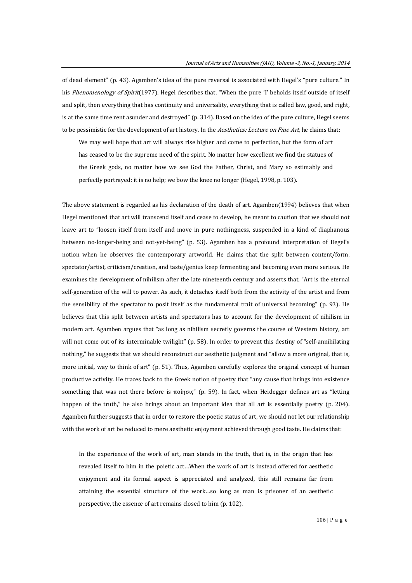of dead element" (p. 43). Agamben's idea of the pure reversal is associated with Hegel's "pure culture." In his Phenomenology of Spirit(1977), Hegel describes that, "When the pure 'I' beholds itself outside of itself and split, then everything that has continuity and universality, everything that is called law, good, and right, is at the same time rent asunder and destroyed" (p. 314). Based on the idea of the pure culture, Hegel seems to be pessimistic for the development of art history. In the Aesthetics: Lecture on Fine Art, he claims that:

We may well hope that art will always rise higher and come to perfection, but the form of art has ceased to be the supreme need of the spirit. No matter how excellent we find the statues of the Greek gods, no matter how we see God the Father, Christ, and Mary so estimably and perfectly portrayed: it is no help; we bow the knee no longer (Hegel, 1998, p. 103).

The above statement is regarded as his declaration of the death of art. Agamben(1994) believes that when Hegel mentioned that art will transcend itself and cease to develop, he meant to caution that we should not leave art to "loosen itself from itself and move in pure nothingness, suspended in a kind of diaphanous between no-longer-being and not-yet-being" (p. 53). Agamben has a profound interpretation of Hegel's notion when he observes the contemporary artworld. He claims that the split between content/form, spectator/artist, criticism/creation, and taste/genius keep fermenting and becoming even more serious. He examines the development of nihilism after the late nineteenth century and asserts that, "Art is the eternal self-generation of the will to power. As such, it detaches itself both from the activity of the artist and from the sensibility of the spectator to posit itself as the fundamental trait of universal becoming" (p. 93). He believes that this split between artists and spectators has to account for the development of nihilism in modern art. Agamben argues that "as long as nihilism secretly governs the course of Western history, art will not come out of its interminable twilight" (p. 58). In order to prevent this destiny of "self-annihilating nothing," he suggests that we should reconstruct our aesthetic judgment and "allow a more original, that is, more initial, way to think of art" (p. 51). Thus, Agamben carefully explores the original concept of human productive activity. He traces back to the Greek notion of poetry that "any cause that brings into existence something that was not there before is ποίησις" (p. 59). In fact, when Heidegger defines art as "letting happen of the truth," he also brings about an important idea that all art is essentially poetry (p. 204). Agamben further suggests that in order to restore the poetic status of art, we should not let our relationship with the work of art be reduced to mere aesthetic enjoyment achieved through good taste. He claims that:

In the experience of the work of art, man stands in the truth, that is, in the origin that has revealed itself to him in the poietic act…When the work of art is instead offered for aesthetic enjoyment and its formal aspect is appreciated and analyzed, this still remains far from attaining the essential structure of the work…so long as man is prisoner of an aesthetic perspective, the essence of art remains closed to him (p. 102).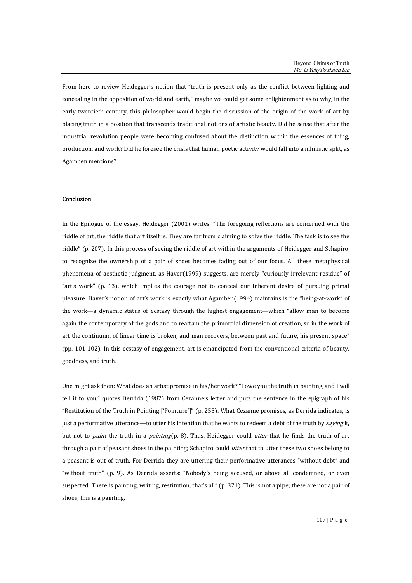From here to review Heidegger's notion that "truth is present only as the conflict between lighting and concealing in the opposition of world and earth," maybe we could get some enlightenment as to why, in the early twentieth century, this philosopher would begin the discussion of the origin of the work of art by placing truth in a position that transcends traditional notions of artistic beauty. Did he sense that after the industrial revolution people were becoming confused about the distinction within the essences of thing, production, and work? Did he foresee the crisis that human poetic activity would fall into a nihilistic split, as Agamben mentions?

#### Conclusion

In the Epilogue of the essay, Heidegger (2001) writes: "The foregoing reflections are concerned with the riddle of art, the riddle that art itself is. They are far from claiming to solve the riddle. The task is to see the riddle" (p. 207). In this process of seeing the riddle of art within the arguments of Heidegger and Schapiro, to recognize the ownership of a pair of shoes becomes fading out of our focus. All these metaphysical phenomena of aesthetic judgment, as Haver(1999) suggests, are merely "curiously irrelevant residue" of "art's work" (p. 13), which implies the courage not to conceal our inherent desire of pursuing primal pleasure. Haver's notion of art's work is exactly what Agamben(1994) maintains is the "being-at-work" of the work—a dynamic status of ecstasy through the highest engagement—which "allow man to become again the contemporary of the gods and to reattain the primordial dimension of creation, so in the work of art the continuum of linear time is broken, and man recovers, between past and future, his present space" (pp. 101-102). In this ecstasy of engagement, art is emancipated from the conventional criteria of beauty, goodness, and truth.

One might ask then: What does an artist promise in his/her work? "I owe you the truth in painting, and I will tell it to you," quotes Derrida (1987) from Cezanne's letter and puts the sentence in the epigraph of his "Restitution of the Truth in Pointing ['Pointure']" (p. 255). What Cezanne promises, as Derrida indicates, is just a performative utterance—to utter his intention that he wants to redeem a debt of the truth by *saying* it, but not to *paint* the truth in a *painting*(p. 8). Thus, Heidegger could *utter* that he finds the truth of art through a pair of peasant shoes in the painting; Schapiro could *utter* that to utter these two shoes belong to a peasant is out of truth. For Derrida they are uttering their performative utterances "without debt" and "without truth" (p. 9). As Derrida asserts: "Nobody's being accused, or above all condemned, or even suspected. There is painting, writing, restitution, that's all" (p. 371). This is not a pipe; these are not a pair of shoes; this is a painting.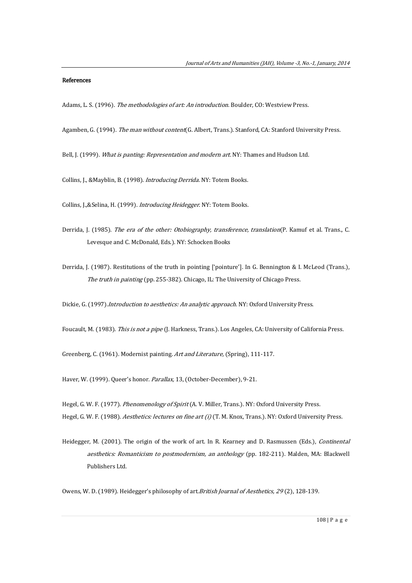#### References

Adams, L. S. (1996). The methodologies of art: An introduction. Boulder, CO: Westview Press.

- Agamben, G. (1994). The man without content(G. Albert, Trans.). Stanford, CA: Stanford University Press.
- Bell, J. (1999). What is panting: Representation and modern art. NY: Thames and Hudson Ltd.
- Collins, J., &Mayblin, B. (1998). Introducing Derrida. NY: Totem Books.

Collins, J.,&Selina, H. (1999). Introducing Heidegger. NY: Totem Books.

- Derrida, J. (1985). The era of the other: Otobiography, transference, translation(P. Kamuf et al. Trans., C. Levesque and C. McDonald, Eds.). NY: Schocken Books
- Derrida, J. (1987). Restitutions of the truth in pointing ['pointure']. In G. Bennington & I. McLeod (Trans.), The truth in painting (pp. 255-382). Chicago, IL: The University of Chicago Press.

Dickie, G. (1997).*Introduction to aesthetics: An analytic approach*. NY: Oxford University Press.

Foucault, M. (1983). This is not a pipe (J. Harkness, Trans.). Los Angeles, CA: University of California Press.

Greenberg, C. (1961). Modernist painting. Art and Literature, (Spring), 111-117.

Haver, W. (1999). Queer's honor. Parallax, 13, (October-December), 9-21.

Hegel, G. W. F. (1977). Phenomenology of Spirit (A. V. Miller, Trans.). NY: Oxford University Press. Hegel, G. W. F. (1988). Aesthetics: lectures on fine art (i) (T. M. Knox, Trans.). NY: Oxford University Press.

Heidegger, M. (2001). The origin of the work of art. In R. Kearney and D. Rasmussen (Eds.), Continental aesthetics: Romanticism to postmodernism, an anthology (pp. 182-211). Malden, MA: Blackwell Publishers Ltd.

Owens, W. D. (1989). Heidegger's philosophy of art. *British Journal of Aesthetics, 29* (2), 128-139.